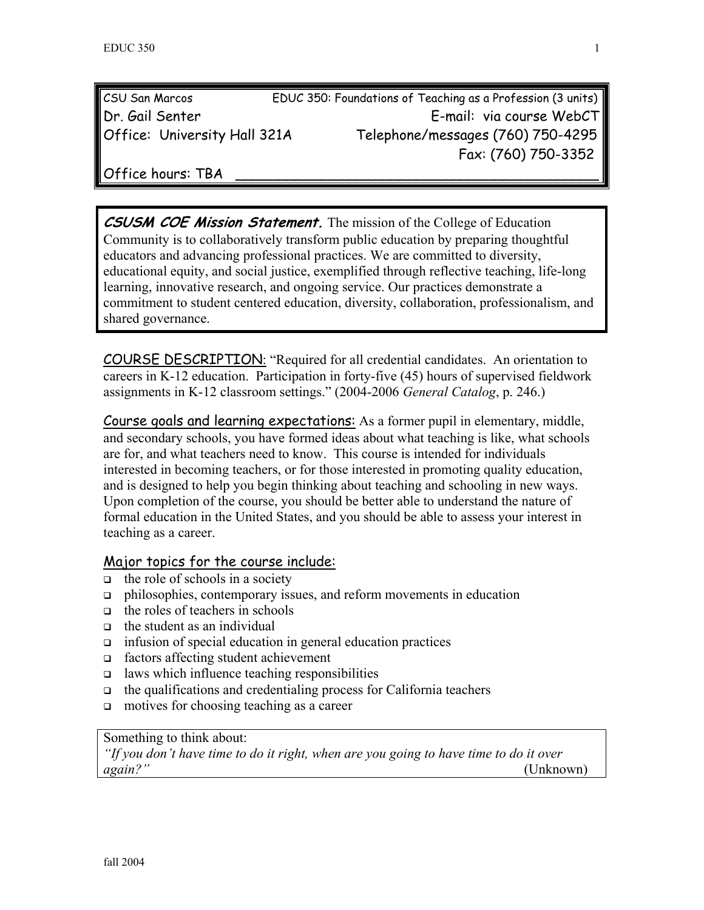| CSU San Marcos               | EDUC 350: Foundations of Teaching as a Profession (3 units) |  |
|------------------------------|-------------------------------------------------------------|--|
| Dr. Gail Senter              | E-mail: via course WebCT                                    |  |
| Office: University Hall 321A | Telephone/messages (760) 750-4295                           |  |
|                              | Fax: (760) 750-3352                                         |  |

Office hours: TBA

**CSUSM COE Mission Statement.** The mission of the College of Education Community is to collaboratively transform public education by preparing thoughtful educators and advancing professional practices. We are committed to diversity, educational equity, and social justice, exemplified through reflective teaching, life-long learning, innovative research, and ongoing service. Our practices demonstrate a commitment to student centered education, diversity, collaboration, professionalism, and shared governance.

COURSE DESCRIPTION: "Required for all credential candidates. An orientation to careers in K-12 education. Participation in forty-five (45) hours of supervised fieldwork assignments in K-12 classroom settings." (2004-2006 *General Catalog*, p. 246.)

Course goals and learning expectations: As a former pupil in elementary, middle, and secondary schools, you have formed ideas about what teaching is like, what schools are for, and what teachers need to know. This course is intended for individuals interested in becoming teachers, or for those interested in promoting quality education, and is designed to help you begin thinking about teaching and schooling in new ways. Upon completion of the course, you should be better able to understand the nature of formal education in the United States, and you should be able to assess your interest in teaching as a career.

#### Major topics for the course include:

- $\Box$  the role of schools in a society
- $\Box$  philosophies, contemporary issues, and reform movements in education
- $\Box$  the roles of teachers in schools
- $\Box$  the student as an individual
- $\Box$  infusion of special education in general education practices
- factors affecting student achievement
- $\Box$  laws which influence teaching responsibilities
- $\Box$  the qualifications and credentialing process for California teachers
- $\Box$  motives for choosing teaching as a career

#### Something to think about:

*"If you don't have time to do it right, when are you going to have time to do it over again?"* (Unknown)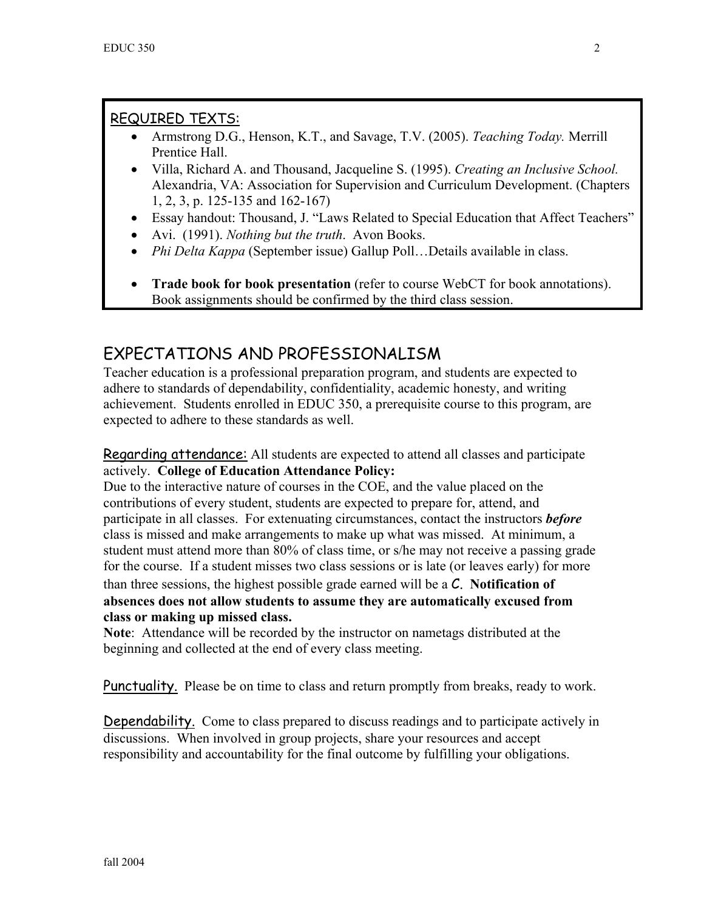## REQUIRED TEXTS:

- Armstrong D.G., Henson, K.T., and Savage, T.V. (2005). *Teaching Today.* Merrill Prentice Hall.
- Villa, Richard A. and Thousand, Jacqueline S. (1995). *Creating an Inclusive School.* Alexandria, VA: Association for Supervision and Curriculum Development. (Chapters 1, 2, 3, p. 125-135 and 162-167)
- Essay handout: Thousand, J. "Laws Related to Special Education that Affect Teachers"
- Avi. (1991). *Nothing but the truth*. Avon Books.
- *Phi Delta Kappa* (September issue) Gallup Poll…Details available in class.
- **Trade book for book presentation** (refer to course WebCT for book annotations). Book assignments should be confirmed by the third class session.

# EXPECTATIONS AND PROFESSIONALISM

Teacher education is a professional preparation program, and students are expected to adhere to standards of dependability, confidentiality, academic honesty, and writing achievement. Students enrolled in EDUC 350, a prerequisite course to this program, are expected to adhere to these standards as well.

Regarding attendance: All students are expected to attend all classes and participate actively. **College of Education Attendance Policy:** 

Due to the interactive nature of courses in the COE, and the value placed on the contributions of every student, students are expected to prepare for, attend, and participate in all classes. For extenuating circumstances, contact the instructors *before* class is missed and make arrangements to make up what was missed. At minimum, a student must attend more than 80% of class time, or s/he may not receive a passing grade for the course. If a student misses two class sessions or is late (or leaves early) for more than three sessions, the highest possible grade earned will be a C. **Notification of absences does not allow students to assume they are automatically excused from class or making up missed class.** 

**Note**: Attendance will be recorded by the instructor on nametags distributed at the beginning and collected at the end of every class meeting.

Punctuality. Please be on time to class and return promptly from breaks, ready to work.

Dependability. Come to class prepared to discuss readings and to participate actively in discussions. When involved in group projects, share your resources and accept responsibility and accountability for the final outcome by fulfilling your obligations.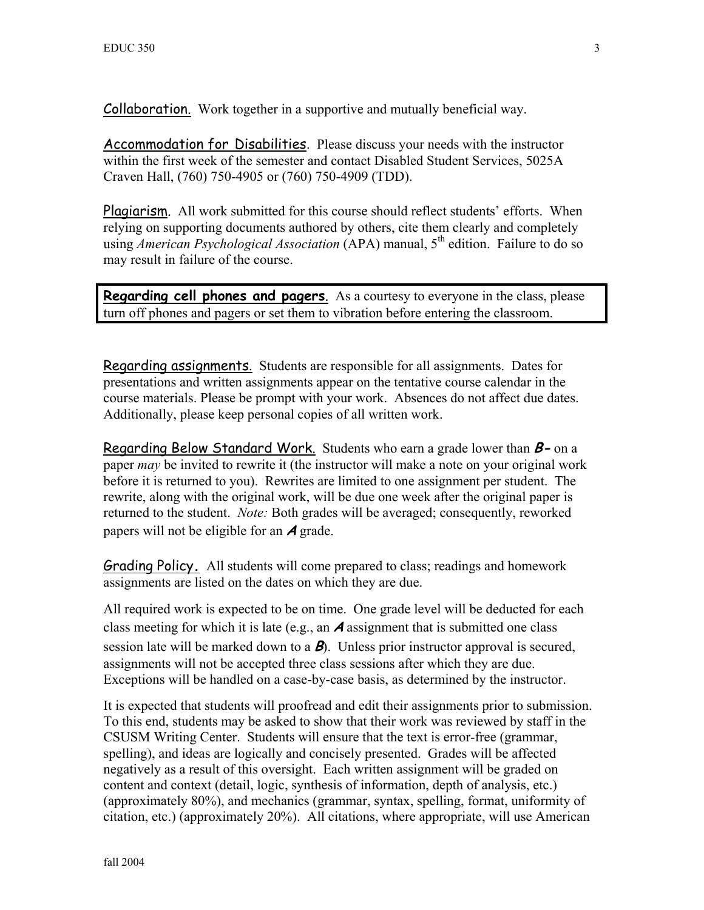Collaboration. Work together in a supportive and mutually beneficial way.

Accommodation for Disabilities. Please discuss your needs with the instructor within the first week of the semester and contact Disabled Student Services, 5025A Craven Hall, (760) 750-4905 or (760) 750-4909 (TDD).

Plagiarism. All work submitted for this course should reflect students' efforts. When relying on supporting documents authored by others, cite them clearly and completely using *American Psychological Association* (APA) manual, 5<sup>th</sup> edition. Failure to do so may result in failure of the course.

**Regarding cell phones and pagers**. As a courtesy to everyone in the class, please turn off phones and pagers or set them to vibration before entering the classroom.

Regarding assignments. Students are responsible for all assignments. Dates for presentations and written assignments appear on the tentative course calendar in the course materials. Please be prompt with your work. Absences do not affect due dates. Additionally, please keep personal copies of all written work.

Regarding Below Standard Work. Students who earn a grade lower than **B-** on a paper *may* be invited to rewrite it (the instructor will make a note on your original work before it is returned to you). Rewrites are limited to one assignment per student. The rewrite, along with the original work, will be due one week after the original paper is returned to the student. *Note:* Both grades will be averaged; consequently, reworked papers will not be eligible for an **A** grade.

Grading Policy**.** All students will come prepared to class; readings and homework assignments are listed on the dates on which they are due.

All required work is expected to be on time. One grade level will be deducted for each class meeting for which it is late (e.g., an **A** assignment that is submitted one class session late will be marked down to a **B**). Unless prior instructor approval is secured, assignments will not be accepted three class sessions after which they are due. Exceptions will be handled on a case-by-case basis, as determined by the instructor.

It is expected that students will proofread and edit their assignments prior to submission. To this end, students may be asked to show that their work was reviewed by staff in the CSUSM Writing Center. Students will ensure that the text is error-free (grammar, spelling), and ideas are logically and concisely presented. Grades will be affected negatively as a result of this oversight. Each written assignment will be graded on content and context (detail, logic, synthesis of information, depth of analysis, etc.) (approximately 80%), and mechanics (grammar, syntax, spelling, format, uniformity of citation, etc.) (approximately 20%). All citations, where appropriate, will use American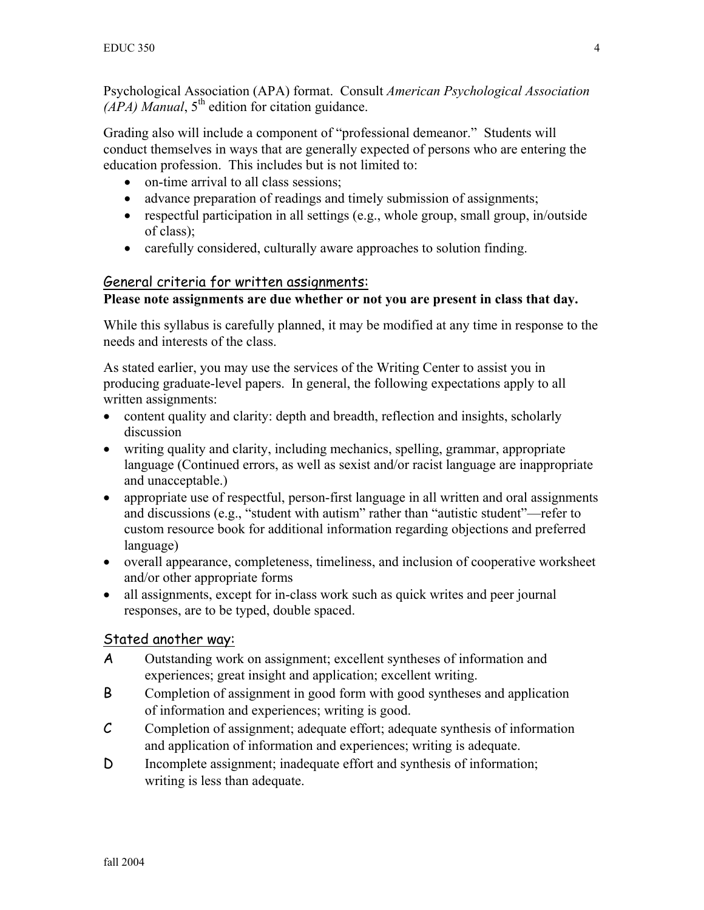Psychological Association (APA) format. Consult *American Psychological Association*  $(APA)$  *Manual*,  $5<sup>th</sup>$  edition for citation guidance.

Grading also will include a component of "professional demeanor." Students will conduct themselves in ways that are generally expected of persons who are entering the education profession. This includes but is not limited to:

- on-time arrival to all class sessions;
- advance preparation of readings and timely submission of assignments;
- respectful participation in all settings (e.g., whole group, small group, in/outside of class);
- carefully considered, culturally aware approaches to solution finding.

#### General criteria for written assignments:

#### **Please note assignments are due whether or not you are present in class that day.**

While this syllabus is carefully planned, it may be modified at any time in response to the needs and interests of the class.

As stated earlier, you may use the services of the Writing Center to assist you in producing graduate-level papers. In general, the following expectations apply to all written assignments:

- content quality and clarity: depth and breadth, reflection and insights, scholarly discussion
- writing quality and clarity, including mechanics, spelling, grammar, appropriate language (Continued errors, as well as sexist and/or racist language are inappropriate and unacceptable.)
- appropriate use of respectful, person-first language in all written and oral assignments and discussions (e.g., "student with autism" rather than "autistic student"—refer to custom resource book for additional information regarding objections and preferred language)
- overall appearance, completeness, timeliness, and inclusion of cooperative worksheet and/or other appropriate forms
- all assignments, except for in-class work such as quick writes and peer journal responses, are to be typed, double spaced.

### Stated another way:

- A Outstanding work on assignment; excellent syntheses of information and experiences; great insight and application; excellent writing.
- B Completion of assignment in good form with good syntheses and application of information and experiences; writing is good.
- C Completion of assignment; adequate effort; adequate synthesis of information and application of information and experiences; writing is adequate.
- D Incomplete assignment; inadequate effort and synthesis of information; writing is less than adequate.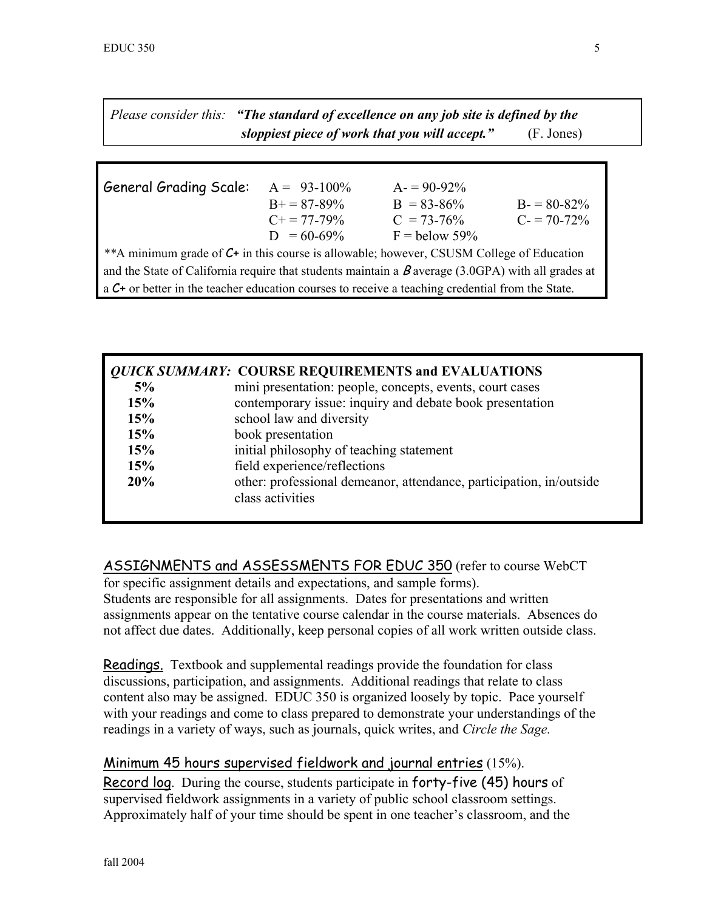*Please consider this: "The standard of excellence on any job site is defined by the sloppiest piece of work that you will accept."* (F. Jones)

| <b>General Grading Scale:</b>                                                                            | $A = 93-100\%$        | $A = 90-92\%$   |                 |  |
|----------------------------------------------------------------------------------------------------------|-----------------------|-----------------|-----------------|--|
|                                                                                                          | $B+=87-89\%$          | $B = 83 - 86\%$ | $B = 80 - 82\%$ |  |
|                                                                                                          | $C_{\pm} = 77 - 79\%$ | $C = 73 - 76\%$ | $C = 70-72\%$   |  |
|                                                                                                          | $D = 60-69\%$         | $F =$ below 59% |                 |  |
| **A minimum grade of $C^+$ in this course is allowable; however, CSUSM College of Education              |                       |                 |                 |  |
| and the State of California require that students maintain a $\beta$ average (3.0GPA) with all grades at |                       |                 |                 |  |
| $\alpha$ C+ or better in the teacher education courses to receive a teaching credential from the State.  |                       |                 |                 |  |

|     | <b>QUICK SUMMARY: COURSE REQUIREMENTS and EVALUATIONS</b>                               |
|-----|-----------------------------------------------------------------------------------------|
| 5%  | mini presentation: people, concepts, events, court cases                                |
| 15% | contemporary issue: inquiry and debate book presentation                                |
| 15% | school law and diversity                                                                |
| 15% | book presentation                                                                       |
| 15% | initial philosophy of teaching statement                                                |
| 15% | field experience/reflections                                                            |
| 20% | other: professional demeanor, attendance, participation, in/outside<br>class activities |
|     |                                                                                         |

ASSIGNMENTS and ASSESSMENTS FOR EDUC 350 (refer to course WebCT

for specific assignment details and expectations, and sample forms). Students are responsible for all assignments. Dates for presentations and written assignments appear on the tentative course calendar in the course materials. Absences do not affect due dates. Additionally, keep personal copies of all work written outside class.

Readings.Textbook and supplemental readings provide the foundation for class discussions, participation, and assignments. Additional readings that relate to class content also may be assigned. EDUC 350 is organized loosely by topic. Pace yourself with your readings and come to class prepared to demonstrate your understandings of the readings in a variety of ways, such as journals, quick writes, and *Circle the Sage.*

### Minimum 45 hours supervised fieldwork and journal entries (15%).

Record log. During the course, students participate in forty-five (45) hours of supervised fieldwork assignments in a variety of public school classroom settings. Approximately half of your time should be spent in one teacher's classroom, and the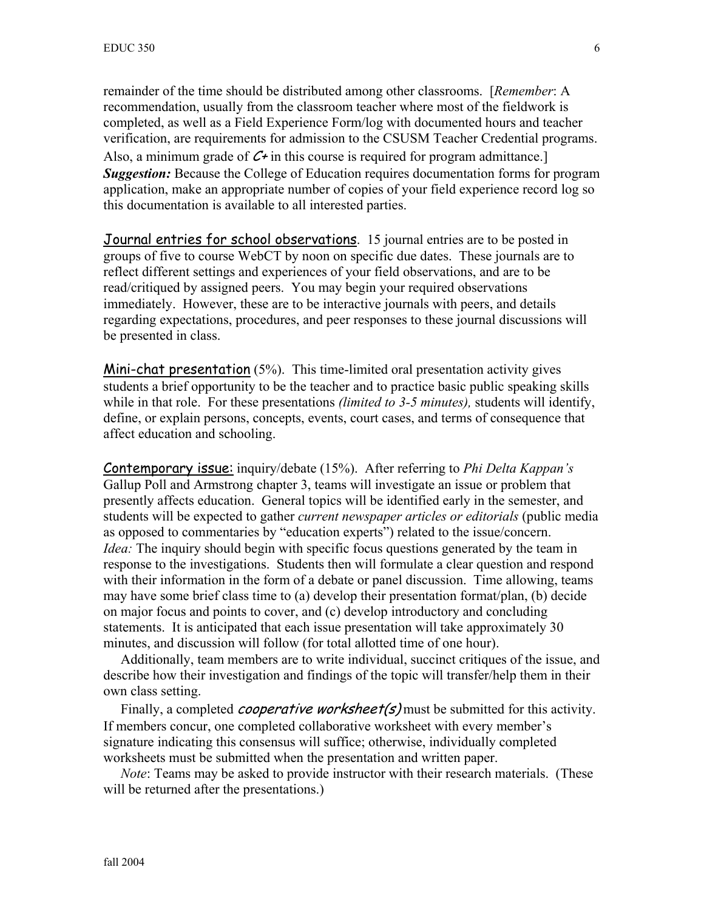remainder of the time should be distributed among other classrooms. [*Remember*: A recommendation, usually from the classroom teacher where most of the fieldwork is completed, as well as a Field Experience Form/log with documented hours and teacher verification, are requirements for admission to the CSUSM Teacher Credential programs. Also, a minimum grade of  $C_{+}$  in this course is required for program admittance. *Suggestion:* Because the College of Education requires documentation forms for program application, make an appropriate number of copies of your field experience record log so this documentation is available to all interested parties.

Journal entries for school observations. 15 journal entries are to be posted in groups of five to course WebCT by noon on specific due dates. These journals are to reflect different settings and experiences of your field observations, and are to be read/critiqued by assigned peers. You may begin your required observations immediately. However, these are to be interactive journals with peers, and details regarding expectations, procedures, and peer responses to these journal discussions will be presented in class.

Mini-chat presentation (5%). This time-limited oral presentation activity gives students a brief opportunity to be the teacher and to practice basic public speaking skills while in that role. For these presentations *(limited to 3-5 minutes),* students will identify, define, or explain persons, concepts, events, court cases, and terms of consequence that affect education and schooling.

Contemporary issue: inquiry/debate (15%). After referring to *Phi Delta Kappan's* Gallup Poll and Armstrong chapter 3, teams will investigate an issue or problem that presently affects education. General topics will be identified early in the semester, and students will be expected to gather *current newspaper articles or editorials* (public media as opposed to commentaries by "education experts") related to the issue/concern. *Idea*: The inquiry should begin with specific focus questions generated by the team in response to the investigations. Students then will formulate a clear question and respond with their information in the form of a debate or panel discussion. Time allowing, teams may have some brief class time to (a) develop their presentation format/plan, (b) decide on major focus and points to cover, and (c) develop introductory and concluding statements. It is anticipated that each issue presentation will take approximately 30 minutes, and discussion will follow (for total allotted time of one hour).

 Additionally, team members are to write individual, succinct critiques of the issue, and describe how their investigation and findings of the topic will transfer/help them in their own class setting.

Finally, a completed *cooperative worksheet(s)* must be submitted for this activity. If members concur, one completed collaborative worksheet with every member's signature indicating this consensus will suffice; otherwise, individually completed worksheets must be submitted when the presentation and written paper.

 *Note*: Teams may be asked to provide instructor with their research materials. (These will be returned after the presentations.)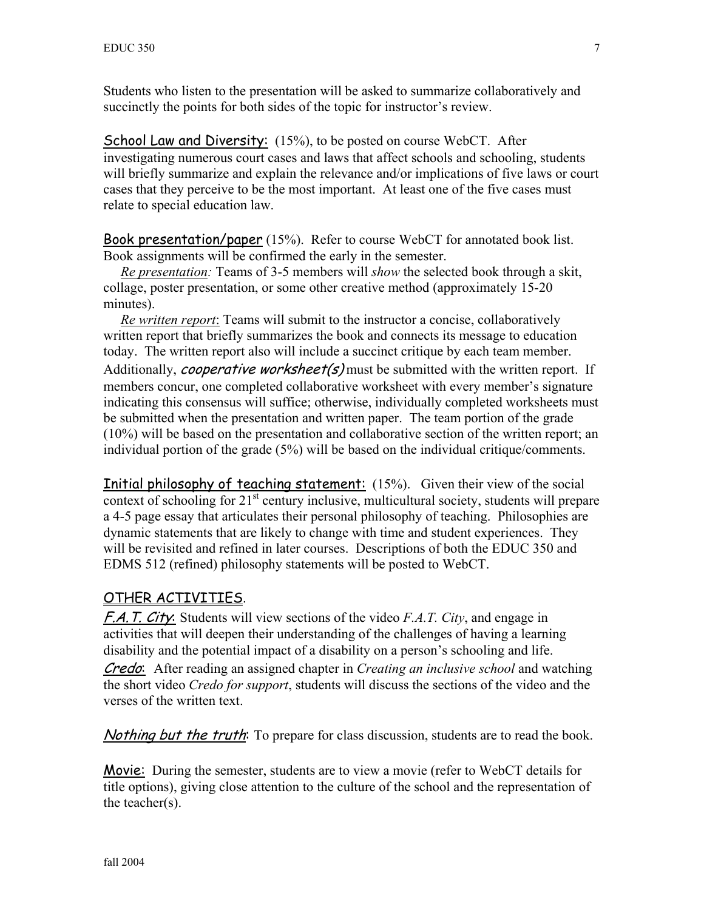Students who listen to the presentation will be asked to summarize collaboratively and succinctly the points for both sides of the topic for instructor's review.

School Law and Diversity: (15%), to be posted on course WebCT. After investigating numerous court cases and laws that affect schools and schooling, students will briefly summarize and explain the relevance and/or implications of five laws or court cases that they perceive to be the most important. At least one of the five cases must relate to special education law.

Book presentation/paper (15%). Refer to course WebCT for annotated book list. Book assignments will be confirmed the early in the semester.

 *Re presentation:* Teams of 3-5 members will *show* the selected book through a skit, collage, poster presentation, or some other creative method (approximately 15-20 minutes).

 *Re written report*: Teams will submit to the instructor a concise, collaboratively written report that briefly summarizes the book and connects its message to education today. The written report also will include a succinct critique by each team member. Additionally, *cooperative worksheet(s)* must be submitted with the written report. If members concur, one completed collaborative worksheet with every member's signature indicating this consensus will suffice; otherwise, individually completed worksheets must be submitted when the presentation and written paper. The team portion of the grade (10%) will be based on the presentation and collaborative section of the written report; an individual portion of the grade (5%) will be based on the individual critique/comments.

Initial philosophy of teaching statement: (15%). Given their view of the social context of schooling for 21<sup>st</sup> century inclusive, multicultural society, students will prepare a 4-5 page essay that articulates their personal philosophy of teaching. Philosophies are dynamic statements that are likely to change with time and student experiences. They will be revisited and refined in later courses. Descriptions of both the EDUC 350 and EDMS 512 (refined) philosophy statements will be posted to WebCT.

### OTHER ACTIVITIES.

F.A.T. City: Students will view sections of the video *F.A.T. City*, and engage in activities that will deepen their understanding of the challenges of having a learning disability and the potential impact of a disability on a person's schooling and life. Credo: After reading an assigned chapter in *Creating an inclusive school* and watching the short video *Credo for support*, students will discuss the sections of the video and the verses of the written text.

Nothing but the truth: To prepare for class discussion, students are to read the book.

Movie: During the semester, students are to view a movie (refer to WebCT details for title options), giving close attention to the culture of the school and the representation of the teacher(s).